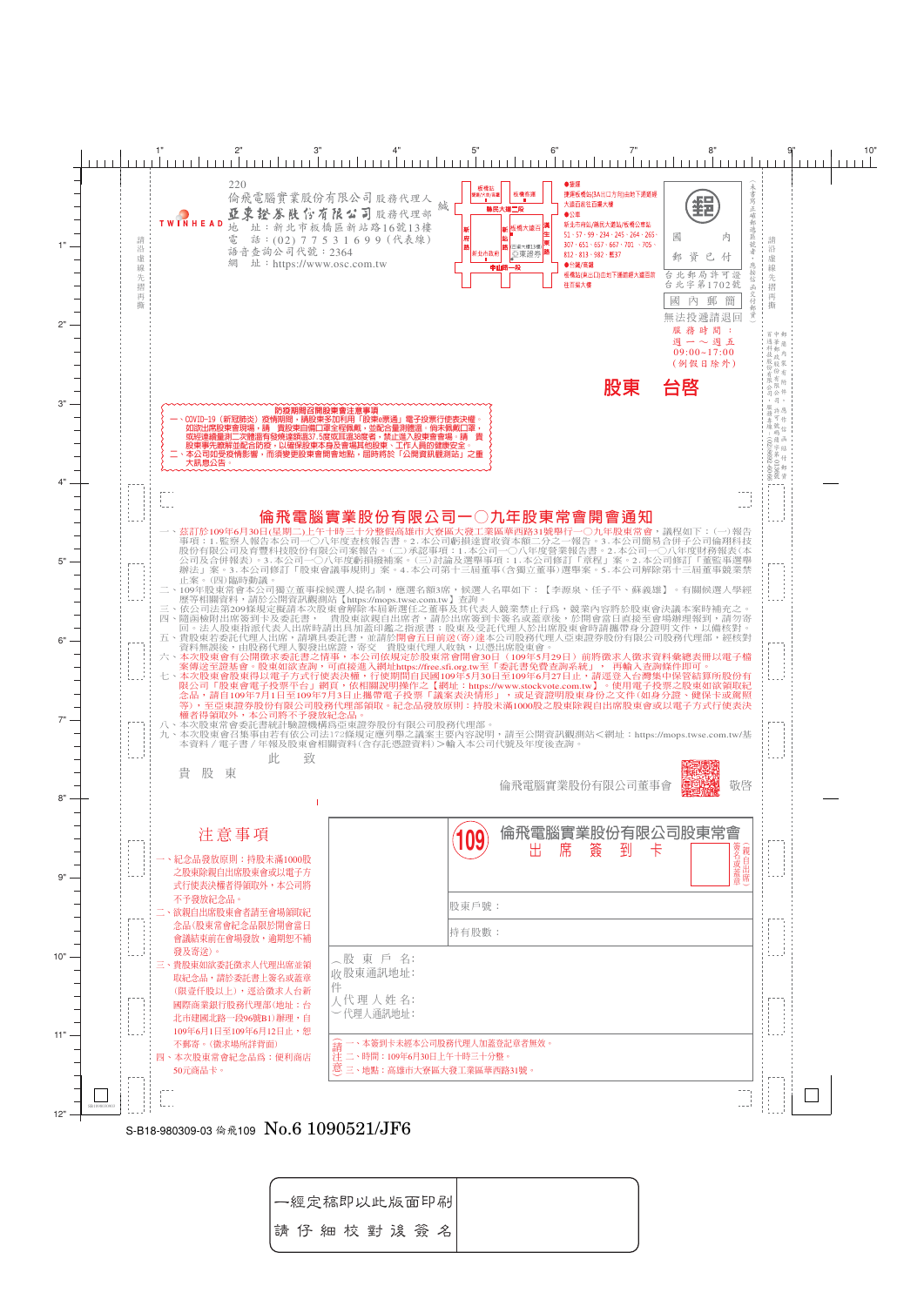

 $\lfloor \ \rfloor$